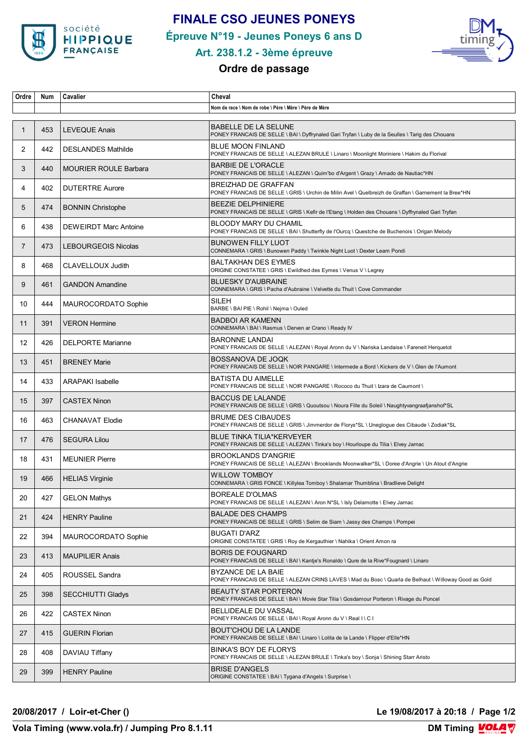

## **FINALE CSO JEUNES PONEYS**

**Épreuve N°19 - Jeunes Poneys 6 ans D**



#### **Art. 238.1.2 - 3ème épreuve**

## **Ordre de passage**

| Ordre          | Num | Cavalier                     | Cheval                                                                                                                          |
|----------------|-----|------------------------------|---------------------------------------------------------------------------------------------------------------------------------|
|                |     |                              | Nom de race \ Nom de robe \ Père \ Mère \ Père de Mère                                                                          |
| $\mathbf{1}$   | 453 | <b>LEVEQUE Anais</b>         | <b>BABELLE DE LA SELUNE</b><br>PONEY FRANCAIS DE SELLE \ BAI \ Dyffrynaled Gari Tryfan \ Luby de la Seulles \ Tarig des Chouans |
| 2              | 442 | <b>DESLANDES Mathilde</b>    | <b>BLUE MOON FINLAND</b><br>PONEY FRANCAIS DE SELLE \ ALEZAN BRULE \ Linaro \ Moonlight Moriniere \ Hakim du Florival           |
| 3              | 440 | <b>MOURIER ROULE Barbara</b> | <b>BARBIE DE L'ORACLE</b><br>PONEY FRANCAIS DE SELLE \ ALEZAN \ Quim'bo d'Argent \ Grazy \ Amado de Nautiac*HN                  |
| 4              | 402 | <b>DUTERTRE Aurore</b>       | BREIZHAD DE GRAFFAN<br>PONEY FRANCAIS DE SELLE \ GRIS \ Urchin de Milin Avel \ Quelbreizh de Graffan \ Garnement la Bree*HN     |
| 5              | 474 | <b>BONNIN Christophe</b>     | <b>BEEZIE DELPHINIERE</b><br>PONEY FRANCAIS DE SELLE \ GRIS \ Kefir de l'Etang \ Holden des Chouans \ Dyffrynaled Gari Tryfan   |
| 6              | 438 | <b>DEWEIRDT Marc Antoine</b> | <b>BLOODY MARY DU CHAMIL</b><br>PONEY FRANCAIS DE SELLE \ BAI \ Shutterfly de l'Ourcq \ Questche de Buchenois \ Origan Melody   |
| $\overline{7}$ | 473 | <b>LEBOURGEOIS Nicolas</b>   | <b>BUNOWEN FILLY LUOT</b><br>CONNEMARA \ GRIS \ Bunowen Paddy \ Twinkle Night Luot \ Dexter Leam Pondi                          |
| 8              | 468 | CLAVELLOUX Judith            | <b>BALTAKHAN DES EYMES</b><br>ORIGINE CONSTATEE \ GRIS \ Ewildhed des Eymes \ Venus V \ Legrey                                  |
| 9              | 461 | <b>GANDON Amandine</b>       | <b>BLUESKY D'AUBRAINE</b><br>CONNEMARA \ GRIS \ Pacha d'Aubraine \ Velvette du Thuit \ Cove Commander                           |
| 10             | 444 | MAUROCORDATO Sophie          | <b>SILEH</b><br>BARBE \ BAI PIE \ Rohil \ Nejma \ Ouled                                                                         |
| 11             | 391 | <b>VERON Hermine</b>         | <b>BADBOI AR KAMENN</b><br>CONNEMARA \ BAI \ Rasmus \ Derven ar Crano \ Ready IV                                                |
| 12             | 426 | <b>DELPORTE Marianne</b>     | <b>BARONNE LANDAI</b><br>PONEY FRANCAIS DE SELLE \ ALEZAN \ Royal Aronn du V \ Nariska Landaise \ Fareneit Herquetot            |
| 13             | 451 | <b>BRENEY Marie</b>          | BOSSANOVA DE JOQK<br>PONEY FRANCAIS DE SELLE \ NOIR PANGARE \ Intermede a Bord \ Kickers de V \ Glen de l'Aumont                |
| 14             | 433 | <b>ARAPAKI Isabelle</b>      | <b>BATISTA DU AIMELLE</b><br>PONEY FRANCAIS DE SELLE \ NOIR PANGARE \ Rococo du Thuit \ Izara de Caumont \                      |
| 15             | 397 | <b>CASTEX Ninon</b>          | <b>BACCUS DE LALANDE</b><br>PONEY FRANCAIS DE SELLE \ GRIS \ Quoutsou \ Noura Fille du Soleil \ Naughtyvangraafjanshof*SL       |
| 16             | 463 | <b>CHANAVAT Elodie</b>       | <b>BRUME DES CIBAUDES</b><br>PONEY FRANCAIS DE SELLE \ GRIS \ Jimmerdor de Florys*SL \ Uneglogue des Cibaude \ Zodiak*SL        |
| 17             | 476 | <b>SEGURA Lilou</b>          | <b>BLUE TINKA TILIA*KERVEYER</b><br>PONEY FRANCAIS DE SELLE \ ALEZAN \ Tinka's boy \ Hourloupe du Tilia \ Elvey Jarnac          |
| 18             | 431 | <b>MEUNIER Pierre</b>        | <b>BROOKLANDS D'ANGRIE</b><br>PONEY FRANCAIS DE SELLE \ ALEZAN \ Brooklands Moonwalker*SL \ Doree d'Angrie \ Un Atout d'Angrie  |
| 19             | 466 | <b>HELIAS Virginie</b>       | <b>WILLOW TOMBOY</b><br>CONNEMARA \ GRIS FONCE \ Killylea Tomboy \ Shalamar Thumblina \ Bradlieve Delight                       |
| 20             | 427 | <b>GELON Mathys</b>          | <b>BOREALE D'OLMAS</b><br>PONEY FRANCAIS DE SELLE \ ALEZAN \ Aron N*SL \ Isly Delamotte \ Elvey Jarnac                          |
| 21             | 424 | <b>HENRY Pauline</b>         | <b>BALADE DES CHAMPS</b><br>PONEY FRANCAIS DE SELLE \ GRIS \ Selim de Siam \ Jassy des Champs \ Pompei                          |
| 22             | 394 | MAUROCORDATO Sophie          | BUGATI D'ARZ<br>ORIGINE CONSTATEE \ GRIS \ Roy de Kergauthier \ Nahika \ Orient Amon ra                                         |
| 23             | 413 | <b>MAUPILIER Anais</b>       | <b>BORIS DE FOUGNARD</b><br>PONEY FRANCAIS DE SELLE \ BAI \ Kantje's Ronaldo \ Qure de la Rive*Fougnard \ Linaro                |
| 24             | 405 | ROUSSEL Sandra               | BYZANCE DE LA BAIE<br>PONEY FRANCAIS DE SELLE \ ALEZAN CRINS LAVES \ Mad du Bosc \ Quarla de Belhaut \ Willoway Good as Gold    |
| 25             | 398 | <b>SECCHIUTTI Gladys</b>     | <b>BEAUTY STAR PORTERON</b><br>PONEY FRANCAIS DE SELLE \ BAI \ Movie Star Tilia \ Gosdamour Porteron \ Rivage du Poncel         |
| 26             | 422 | <b>CASTEX Ninon</b>          | BELLIDEALE DU VASSAL<br>PONEY FRANCAIS DE SELLE \ BAI \ Royal Aronn du V \ Real I \ C I                                         |
| 27             | 415 | <b>GUERIN Florian</b>        | <b>BOUT'CHOU DE LA LANDE</b><br>PONEY FRANCAIS DE SELLE \ BAI \ Linaro \ Lolita de la Lande \ Flipper d'Elle*HN                 |
| 28             | 408 | DAVIAU Tiffany               | BINKA'S BOY DE FLORYS<br>PONEY FRANCAIS DE SELLE \ ALEZAN BRULE \ Tinka's boy \ Sonja \ Shining Starr Aristo                    |
| 29             | 399 | <b>HENRY Pauline</b>         | <b>BRISE D'ANGELS</b><br>ORIGINE CONSTATEE \ BAI \ Tygana d'Angels \ Surprise \                                                 |

**20/08/2017 / Loir-et-Cher () Le 19/08/2017 à 20:18 / Page 1/2**